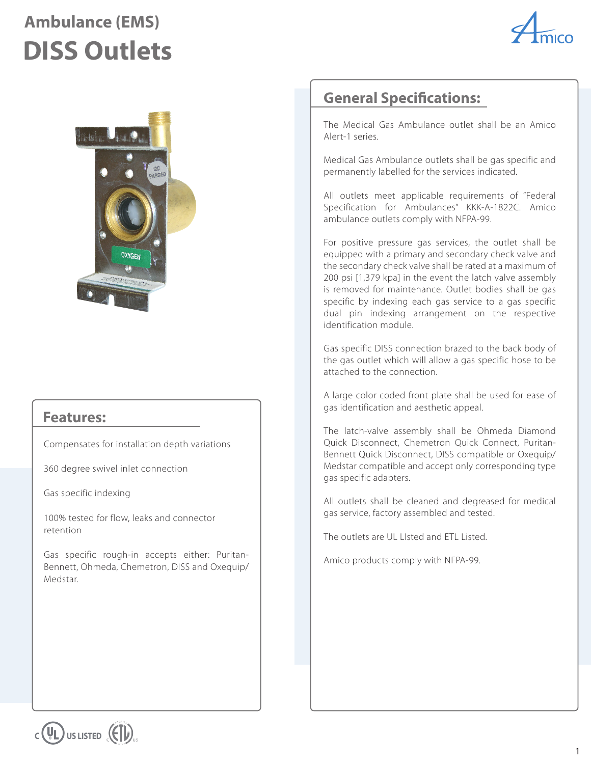## **Ambulance (EMS) DISS Outlets**





### **Features:**

Compensates for installation depth variations

360 degree swivel inlet connection

Gas specific indexing

100% tested for flow, leaks and connector retention

Gas specific rough-in accepts either: Puritan-Bennett, Ohmeda, Chemetron, DISS and Oxequip/ Medstar.

### **General Specifications:**

The Medical Gas Ambulance outlet shall be an Amico Alert-1 series.

Medical Gas Ambulance outlets shall be gas specific and permanently labelled for the services indicated.

All outlets meet applicable requirements of "Federal Specification for Ambulances" KKK-A-1822C. Amico ambulance outlets comply with NFPA-99.

For positive pressure gas services, the outlet shall be equipped with a primary and secondary check valve and the secondary check valve shall be rated at a maximum of 200 psi [1,379 kpa] in the event the latch valve assembly is removed for maintenance. Outlet bodies shall be gas specific by indexing each gas service to a gas specific dual pin indexing arrangement on the respective identification module.

Gas specific DISS connection brazed to the back body of the gas outlet which will allow a gas specific hose to be attached to the connection.

A large color coded front plate shall be used for ease of gas identification and aesthetic appeal.

The latch-valve assembly shall be Ohmeda Diamond Quick Disconnect, Chemetron Quick Connect, Puritan-Bennett Quick Disconnect, DISS compatible or Oxequip/ Medstar compatible and accept only corresponding type gas specific adapters.

All outlets shall be cleaned and degreased for medical gas service, factory assembled and tested.

The outlets are UL LIsted and ETL Listed.

Amico products comply with NFPA-99.